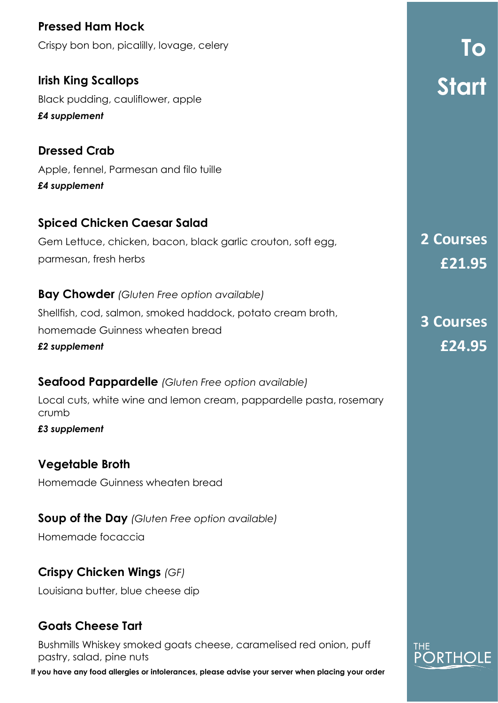to<br>Tomas Start **To Start Pressed Ham Hock** Crispy bon bon, picalilly, lovage, celery **Irish King Scallops**  Black pudding, cauliflower, apple *£4 supplement* **Dressed Crab** Apple, fennel, Parmesan and filo tuille *£4 supplement* **Spiced Chicken Caesar Salad** Gem Lettuce, chicken, bacon, black garlic crouton, soft egg, parmesan, fresh herbs **Bay Chowder** *(Gluten Free option available)* Shellfish, cod, salmon, smoked haddock, potato cream broth, homemade Guinness wheaten bread *£2 supplement* **Seafood Pappardelle** *(Gluten Free option available)* Local cuts, white wine and lemon cream, pappardelle pasta, rosemary crumb *£3 supplement* **Vegetable Broth** Homemade Guinness wheaten bread **Soup of the Day** *(Gluten Free option available)* **2 Courses £21.95 3 Courses £24.95** 

Homemade focaccia

### **Crispy Chicken Wings** *(GF)*

Louisiana butter, blue cheese dip

# **Goats Cheese Tart**

Bushmills Whiskey smoked goats cheese, caramelised red onion, puff pastry, salad, pine nuts

**If you have any food allergies or intolerances, please advise your server when placing your order** 

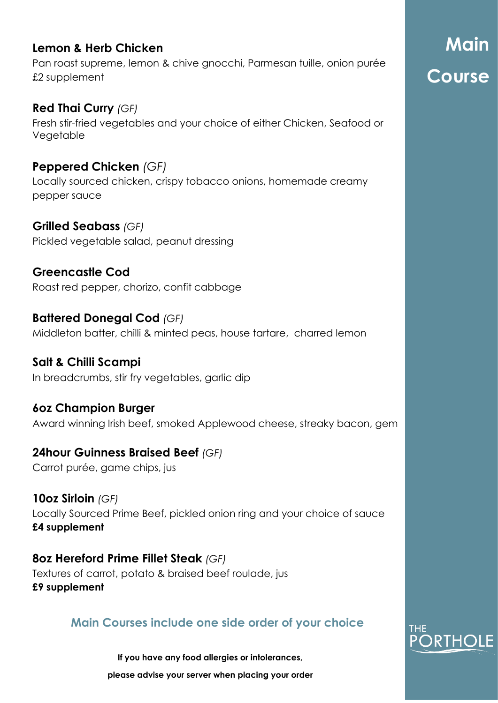### **Lemon & Herb Chicken**

Pan roast supreme, lemon & chive gnocchi, Parmesan tuille, onion purée £2 supplement

**Red Thai Curry** *(GF)* Fresh stir-fried vegetables and your choice of either Chicken, Seafood or **Vegetable** 

**Peppered Chicken** *(GF)* Locally sourced chicken, crispy tobacco onions, homemade creamy pepper sauce

**Grilled Seabass** *(GF)* Pickled vegetable salad, peanut dressing

# **Greencastle Cod**

Roast red pepper, chorizo, confit cabbage

**Battered Donegal Cod** *(GF)* Middleton batter, chilli & minted peas, house tartare, charred lemon

**Salt & Chilli Scampi** In breadcrumbs, stir fry vegetables, garlic dip

**6oz Champion Burger** Award winning Irish beef, smoked Applewood cheese, streaky bacon, gem

# **24hour Guinness Braised Beef** *(GF)*

Carrot purée, game chips, jus

**10oz Sirloin** *(GF)* Locally Sourced Prime Beef, pickled onion ring and your choice of sauce **£4 supplement** 

**8oz Hereford Prime Fillet Steak** *(GF)* Textures of carrot, potato & braised beef roulade, jus **£9 supplement**

### **Main Courses include one side order of your choice**

**If you have any food allergies or intolerances,** 

**please advise your server when placing your order** 

# $\mathbb{R}$  and  $\mathbb{R}$ Course **Main Course**

# RTHOLE